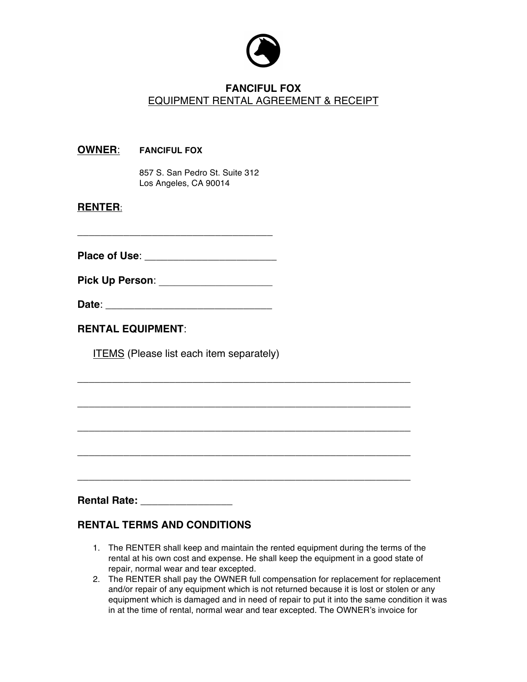

## **FANCIFUL FOX** EQUIPMENT RENTAL AGREEMENT & RECEIPT

|                | <b>OWNER:</b> FANCIFUL FOX                              |  |
|----------------|---------------------------------------------------------|--|
|                | 857 S. San Pedro St. Suite 312<br>Los Angeles, CA 90014 |  |
| <b>RENTER:</b> |                                                         |  |
|                |                                                         |  |
|                | Pick Up Person: _____________________                   |  |
|                |                                                         |  |
|                | <b>RENTAL EQUIPMENT:</b>                                |  |
|                | <b>ITEMS</b> (Please list each item separately)         |  |
|                |                                                         |  |
|                |                                                         |  |
|                |                                                         |  |
|                |                                                         |  |
|                |                                                         |  |
|                |                                                         |  |
|                | Rental Rate: _________________                          |  |

## **RENTAL TERMS AND CONDITIONS**

- 1. The RENTER shall keep and maintain the rented equipment during the terms of the rental at his own cost and expense. He shall keep the equipment in a good state of repair, normal wear and tear excepted.
- 2. The RENTER shall pay the OWNER full compensation for replacement for replacement and/or repair of any equipment which is not returned because it is lost or stolen or any equipment which is damaged and in need of repair to put it into the same condition it was in at the time of rental, normal wear and tear excepted. The OWNER's invoice for